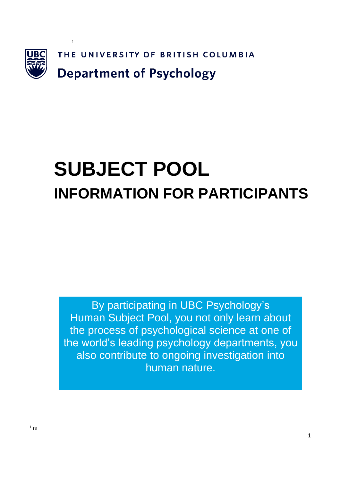

# **SUBJECT POOL INFORMATION FOR PARTICIPANTS**

By participating in UBC Psychology's Human Subject Pool, you not only learn about the process of psychological science at one of the world's leading psychology departments, you also contribute to ongoing investigation into human nature.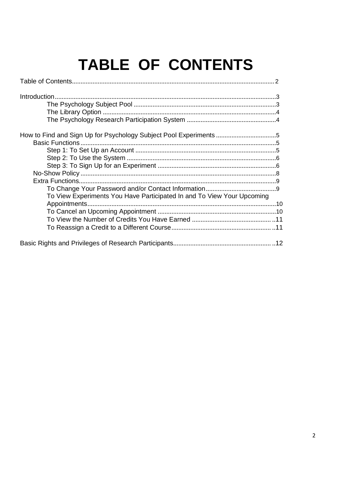## TABLE OF CONTENTS

| Introduction.                                                          |  |
|------------------------------------------------------------------------|--|
|                                                                        |  |
|                                                                        |  |
|                                                                        |  |
|                                                                        |  |
| <b>Basic Functions</b>                                                 |  |
|                                                                        |  |
|                                                                        |  |
|                                                                        |  |
|                                                                        |  |
|                                                                        |  |
|                                                                        |  |
| To View Experiments You Have Participated In and To View Your Upcoming |  |
| Appointments                                                           |  |
|                                                                        |  |
|                                                                        |  |
|                                                                        |  |
|                                                                        |  |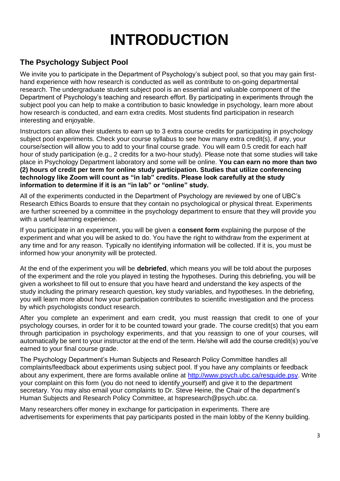## **INTRODUCTION**

#### **The Psychology Subject Pool**

We invite you to participate in the Department of Psychology's subject pool, so that you may gain firsthand experience with how research is conducted as well as contribute to on-going departmental research. The undergraduate student subject pool is an essential and valuable component of the Department of Psychology's teaching and research effort. By participating in experiments through the subject pool you can help to make a contribution to basic knowledge in psychology, learn more about how research is conducted, and earn extra credits. Most students find participation in research interesting and enjoyable.

Instructors can allow their students to earn up to 3 extra course credits for participating in psychology subject pool experiments. Check your course syllabus to see how many extra credit(s), if any, your course/section will allow you to add to your final course grade. You will earn 0.5 credit for each half hour of study participation (e.g., 2 credits for a two-hour study). Please note that some studies will take place in Psychology Department laboratory and some will be online. **You can earn no more than two (2) hours of credit per term for online study participation. Studies that utilize conferencing technology like Zoom will count as "in lab" credits. Please look carefully at the study information to determine if it is an "in lab" or "online" study.**

All of the experiments conducted in the Department of Psychology are reviewed by one of UBC's Research Ethics Boards to ensure that they contain no psychological or physical threat. Experiments are further screened by a committee in the psychology department to ensure that they will provide you with a useful learning experience.

If you participate in an experiment, you will be given a **consent form** explaining the purpose of the experiment and what you will be asked to do. You have the right to withdraw from the experiment at any time and for any reason. Typically no identifying information will be collected. If it is, you must be informed how your anonymity will be protected.

At the end of the experiment you will be **debriefed**, which means you will be told about the purposes of the experiment and the role you played in testing the hypotheses. During this debriefing, you will be given a worksheet to fill out to ensure that you have heard and understand the key aspects of the study including the primary research question, key study variables, and hypotheses. In the debriefing, you will learn more about how your participation contributes to scientific investigation and the process by which psychologists conduct research.

After you complete an experiment and earn credit, you must reassign that credit to one of your psychology courses, in order for it to be counted toward your grade. The course credit(s) that you earn through participation in psychology experiments, and that you reassign to one of your courses, will automatically be sent to your instructor at the end of the term. He/she will add the course credit(s) you've earned to your final course grade.

The Psychology Department's Human Subjects and Research Policy Committee handles all complaints/feedback about experiments using subject pool. If you have any complaints or feedback about any experiment, there are forms available online at http://www.psych.ubc.ca/resguide.psy. Write your complaint on this form (you do not need to identify yourself) and give it to the department secretary. You may also email your complaints to Dr. Steve Heine, the Chair of the department's Human Subjects and Research Policy Committee, at hspresearch@psych.ubc.ca.

Many researchers offer money in exchange for participation in experiments. There are advertisements for experiments that pay participants posted in the main lobby of the Kenny building.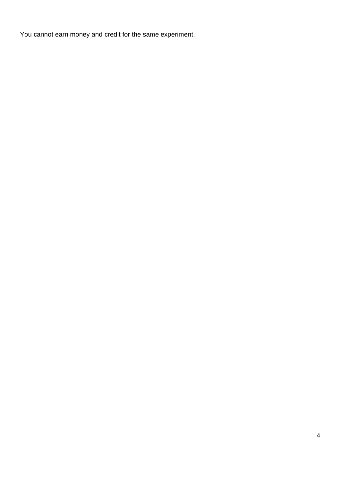You cannot earn money and credit for the same experiment.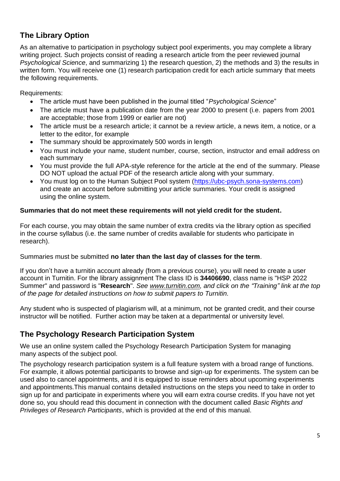#### **The Library Option**

As an alternative to participation in psychology subject pool experiments, you may complete a library writing project. Such projects consist of reading a research article from the peer reviewed journal *Psychological Science*, and summarizing 1) the research question, 2) the methods and 3) the results in written form. You will receive one (1) research participation credit for each article summary that meets the following requirements.

Requirements:

- The article must have been published in the journal titled "*Psychological Science*"
- The article must have a publication date from the year 2000 to present (i.e. papers from 2001 are acceptable; those from 1999 or earlier are not)
- The article must be a research article; it cannot be a review article, a news item, a notice, or a letter to the editor, for example
- The summary should be approximately 500 words in length
- You must include your name, student number, course, section, instructor and email address on each summary
- You must provide the full APA-style reference for the article at the end of the summary. Please DO NOT upload the actual PDF of the research article along with your summary.
- You must log on to the Human Subject Pool system [\(https://ubc-psych.sona-systems.com\)](https://ubc-psych.sona-systems.com/) and create an account before submitting your article summaries. Your credit is assigned using the online system.

#### **Summaries that do not meet these requirements will not yield credit for the student.**

For each course, you may obtain the same number of extra credits via the library option as specified in the course syllabus (i.e. the same number of credits available for students who participate in research).

Summaries must be submitted **no later than the last day of classes for the term**.

If you don't have a turnitin account already (from a previous course), you will need to create a user account in Turnitin. For the library assignment The class ID is **34406690**, class name is "HSP 2022 Summer" and password is "**Research**". *See [www.turnitin.com,](http://www.turnitin.com/) and click on the "Training" link at the top of the page for detailed instructions on how to submit papers to Turnitin.*

Any student who is suspected of plagiarism will, at a minimum, not be granted credit, and their course instructor will be notified. Further action may be taken at a departmental or university level.

#### **The Psychology Research Participation System**

We use an online system called the Psychology Research Participation System for managing many aspects of the subject pool.

The psychology research participation system is a full feature system with a broad range of functions. For example, it allows potential participants to browse and sign-up for experiments. The system can be used also to cancel appointments, and it is equipped to issue reminders about upcoming experiments and appointments.This manual contains detailed instructions on the steps you need to take in order to sign up for and participate in experiments where you will earn extra course credits. If you have not yet done so, you should read this document in connection with the document called *Basic Rights and Privileges of Research Participants*, which is provided at the end of this manual.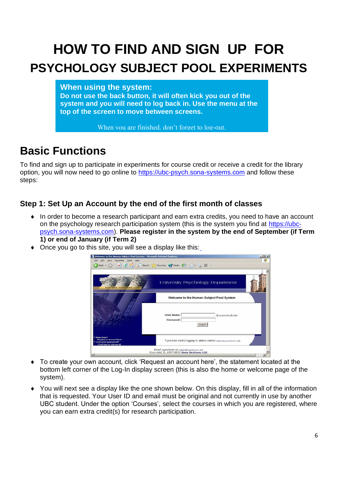## **HOW TO FIND AND SIGN UP FOR PSYCHOLOGY SUBJECT POOL EXPERIMENTS**

**When using the system:**

**Do not use the back button, it will often kick you out of the system and you will need to log back in. Use the menu at the top of the screen to move between screens.**

When you are finished, don't forget to log-out.

### **Basic Functions**

To find and sign up to participate in experiments for course credit or receive a credit for the library option, you will now need to go online to [https://ubc-psych.sona-systems.com](https://ubc-psych.sona-systems.com/) and follow these steps:

#### **Step 1: Set Up an Account by the end of the first month of classes**

- In order to become a research participant and earn extra credits, you need to have an account on the psychology research participation system (this is the system you find at [https://ubc](https://ubc-psych.sona-systems.com/)[psych.sona-systems.com\)](https://ubc-psych.sona-systems.com/). **Please register in the system by the end of September (if Term 1) or end of January (if Term 2)**
- Once you go to this site, you will see a display like this:



- To create your own account, click 'Request an account here', the statement located at the bottom left corner of the Log-In display screen (this is also the home or welcome page of the system).
- You will next see a display like the one shown below. On this display, fill in all of the information that is requested. Your User ID and email must be original and not currently in use by another UBC student. Under the option 'Courses', select the courses in which you are registered, where you can earn extra credit(s) for research participation.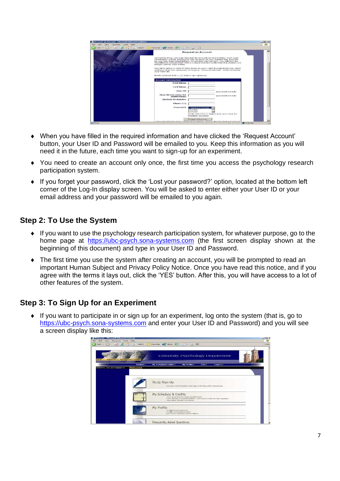| е<br>$\mathbf{r}$<br>back . | search Stravorites ( ) Media ( ) ( ) + New ( )                                                                                                                                                                                                                                                                                                                                                                                                                                                              |                                                               |                 |  |
|-----------------------------|-------------------------------------------------------------------------------------------------------------------------------------------------------------------------------------------------------------------------------------------------------------------------------------------------------------------------------------------------------------------------------------------------------------------------------------------------------------------------------------------------------------|---------------------------------------------------------------|-----------------|--|
|                             |                                                                                                                                                                                                                                                                                                                                                                                                                                                                                                             | <b>Request an Account</b>                                     |                 |  |
|                             | Using this form, you may request an account on the system. Your login-<br>information will be emailed to you as soon as you request the account.<br>so you may login immediately. To protect your privacy, you will only be<br>identified to researchers with a unique numeric code that the system will<br>assign, not by your name.<br>You must enter a User ID that maps to your valid @yourschool.edu email<br>address. It is not manageary to type in "@voorschool.edu" when entering<br>your User ID. |                                                               |                 |  |
|                             | Fields marked with a (1) below are optional.                                                                                                                                                                                                                                                                                                                                                                                                                                                                |                                                               |                 |  |
|                             | <b>Account Information</b>                                                                                                                                                                                                                                                                                                                                                                                                                                                                                  |                                                               |                 |  |
|                             | <b>First Name</b>                                                                                                                                                                                                                                                                                                                                                                                                                                                                                           |                                                               |                 |  |
|                             | <b>Last Name</b>                                                                                                                                                                                                                                                                                                                                                                                                                                                                                            |                                                               |                 |  |
|                             | there ID                                                                                                                                                                                                                                                                                                                                                                                                                                                                                                    |                                                               | @yourschool.edu |  |
|                             | User ID (re-enter for<br>verification)                                                                                                                                                                                                                                                                                                                                                                                                                                                                      |                                                               | @vourschool.edu |  |
|                             | Student ID Number                                                                                                                                                                                                                                                                                                                                                                                                                                                                                           |                                                               |                 |  |
|                             | $Plu$ in $(+)$                                                                                                                                                                                                                                                                                                                                                                                                                                                                                              |                                                               |                 |  |
|                             | Course(s)                                                                                                                                                                                                                                                                                                                                                                                                                                                                                                   | $-$ Select a Course $-$<br>85102A<br><b>86102H</b>            |                 |  |
|                             |                                                                                                                                                                                                                                                                                                                                                                                                                                                                                                             | (hold the Chl or Apple key and click for<br>multiple courses) |                 |  |
|                             |                                                                                                                                                                                                                                                                                                                                                                                                                                                                                                             |                                                               |                 |  |

- When you have filled in the required information and have clicked the 'Request Account' button, your User ID and Password will be emailed to you. Keep this information as you will need it in the future, each time you want to sign-up for an experiment.
- You need to create an account only once, the first time you access the psychology research participation system.
- If you forget your password, click the 'Lost your password?' option, located at the bottom left corner of the Log-In display screen. You will be asked to enter either your User ID or your email address and your password will be emailed to you again.

#### **Step 2: To Use the System**

- If you want to use the psychology research participation system, for whatever purpose, go to the home page at [https://ubc-psych.sona-systems.com](https://ubc-psych.sona-systems.com/) (the first screen display shown at the beginning of this document) and type in your User ID and Password.
- The first time you use the system after creating an account, you will be prompted to read an important Human Subject and Privacy Policy Notice. Once you have read this notice, and if you agree with the terms it lays out, click the 'YES' button. After this, you will have access to a lot of other features of the system.

#### **Step 3: To Sign Up for an Experiment**

 $\bullet$  If you want to participate in or sign up for an experiment, log onto the system (that is, go to [https://ubc-psych.sona-systems.com](https://ubc-psych.sona-systems.com/) and enter your User ID and Password) and you will see a screen display like this:

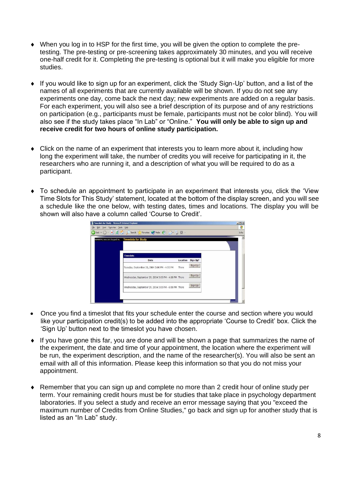- When you log in to HSP for the first time, you will be given the option to complete the pretesting. The pre-testing or pre-screening takes approximately 30 minutes, and you will receive one-half credit for it. Completing the pre-testing is optional but it will make you eligible for more studies.
- If you would like to sign up for an experiment, click the 'Study Sign-Up' button, and a list of the names of all experiments that are currently available will be shown. If you do not see any experiments one day, come back the next day; new experiments are added on a regular basis. For each experiment, you will also see a brief description of its purpose and of any restrictions on participation (e.g., participants must be female, participants must not be color blind). You will also see if the study takes place "In Lab" or "Online." **You will only be able to sign up and receive credit for two hours of online study participation.**
- Click on the name of an experiment that interests you to learn more about it, including how long the experiment will take, the number of credits you will receive for participating in it, the researchers who are running it, and a description of what you will be required to do as a participant.
- To schedule an appointment to participate in an experiment that interests you, click the 'View Time Slots for This Study' statement, located at the bottom of the display screen, and you will see a schedule like the one below, with testing dates, times and locations. The display you will be shown will also have a column called 'Course to Credit'.

|                                               |                                                                                                                       |                                                                                                                                                             | $-10x$       |
|-----------------------------------------------|-----------------------------------------------------------------------------------------------------------------------|-------------------------------------------------------------------------------------------------------------------------------------------------------------|--------------|
|                                               |                                                                                                                       |                                                                                                                                                             | 灌            |
|                                               |                                                                                                                       |                                                                                                                                                             | Links        |
|                                               |                                                                                                                       |                                                                                                                                                             | $\pmb{\ast}$ |
|                                               |                                                                                                                       |                                                                                                                                                             |              |
|                                               |                                                                                                                       |                                                                                                                                                             |              |
| <b>Timeslots</b>                              |                                                                                                                       |                                                                                                                                                             |              |
| Date                                          | Location                                                                                                              | Sign Up?                                                                                                                                                    |              |
| Tuesday, September 28, 2004 3:00 PM - 4:00 PM | There                                                                                                                 | Sign Up                                                                                                                                                     |              |
|                                               |                                                                                                                       | Sign Up                                                                                                                                                     |              |
|                                               |                                                                                                                       | Sign Up                                                                                                                                                     |              |
|                                               |                                                                                                                       |                                                                                                                                                             |              |
|                                               |                                                                                                                       |                                                                                                                                                             |              |
|                                               | Timeslots for Study - Microsoft Internet Explorer<br>Ele Edit View Fevorites Tools Help<br><b>Timeslots for Study</b> | Giad 2 3 . Pseach Chances Chade & A.L E .<br>Wednesday, September 29, 2004 3:00 PM - 4:00 PM There<br>Wednesday, September 29, 2004 5:00 PM - 6:00 PM There |              |

- Once you find a timeslot that fits your schedule enter the course and section where you would like your participation credit(s) to be added into the appropriate 'Course to Credit' box. Click the 'Sign Up' button next to the timeslot you have chosen.
- If you have gone this far, you are done and will be shown a page that summarizes the name of the experiment, the date and time of your appointment, the location where the experiment will be run, the experiment description, and the name of the researcher(s). You will also be sent an email with all of this information. Please keep this information so that you do not miss your appointment.
- Remember that you can sign up and complete no more than 2 credit hour of online study per term. Your remaining credit hours must be for studies that take place in psychology department laboratories. If you select a study and receive an error message saying that you "exceed the maximum number of Credits from Online Studies," go back and sign up for another study that is listed as an "In Lab" study.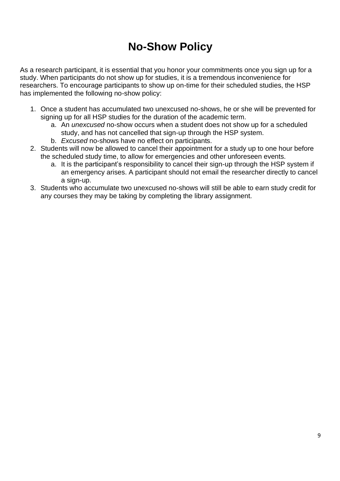## **No-Show Policy**

As a research participant, it is essential that you honor your commitments once you sign up for a study. When participants do not show up for studies, it is a tremendous inconvenience for researchers. To encourage participants to show up on-time for their scheduled studies, the HSP has implemented the following no-show policy:

- 1. Once a student has accumulated two unexcused no-shows, he or she will be prevented for signing up for all HSP studies for the duration of the academic term.
	- a. An *unexcused* no-show occurs when a student does not show up for a scheduled study, and has not cancelled that sign-up through the HSP system.
	- b. *Excused* no-shows have no effect on participants.
- 2. Students will now be allowed to cancel their appointment for a study up to one hour before the scheduled study time, to allow for emergencies and other unforeseen events.
	- a. It is the participant's responsibility to cancel their sign-up through the HSP system if an emergency arises. A participant should not email the researcher directly to cancel a sign-up.
- 3. Students who accumulate two unexcused no-shows will still be able to earn study credit for any courses they may be taking by completing the library assignment.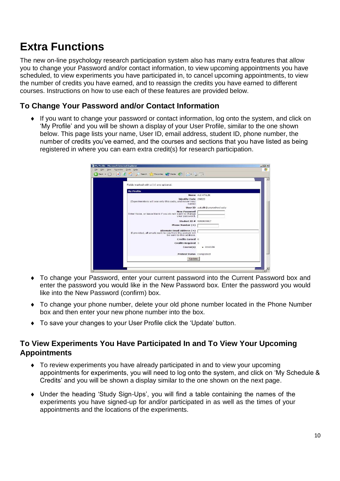### **Extra Functions**

The new on-line psychology research participation system also has many extra features that allow you to change your Password and/or contact information, to view upcoming appointments you have scheduled, to view experiments you have participated in, to cancel upcoming appointments, to view the number of credits you have earned, and to reassign the credits you have earned to different courses. Instructions on how to use each of these features are provided below.

#### **To Change Your Password and/or Contact Information**

 If you want to change your password or contact information, log onto the system, and click on 'My Profile' and you will be shown a display of your User Profile, similar to the one shown below. This page lists your name, User ID, email address, student ID, phone number, the number of credits you've earned, and the courses and sections that you have listed as being registered in where you can earn extra credit(s) for research participation.

| Back + (2) +   x  2   4   O Search Str Favorites (4) Media (4)   C-+ C-   C-            |                                |  |
|-----------------------------------------------------------------------------------------|--------------------------------|--|
|                                                                                         |                                |  |
|                                                                                         |                                |  |
| Fields marked with a $(+)$ are optional.                                                |                                |  |
| <b>My Profile</b>                                                                       |                                |  |
|                                                                                         | Name ALI ATALIK                |  |
| <b>Identity Code 28825</b>                                                              |                                |  |
| (Experimenters will see only this code, and never your<br>name)                         |                                |  |
|                                                                                         | User ID aatalik@vourschool.edu |  |
| <b>New Password</b>                                                                     |                                |  |
| Enter twice, or leave blank if you do not want to change<br>vour password.              |                                |  |
|                                                                                         |                                |  |
| Student ID # 999000907                                                                  |                                |  |
| Phone Number (+)                                                                        |                                |  |
| Alternate Email Address (+)<br>If provided, all emails sent to you from the system will |                                |  |
| be sent to this address.                                                                |                                |  |
| Credits Earned 0                                                                        |                                |  |
| <b>Credits Required 3</b>                                                               |                                |  |
| Course(s)                                                                               | $-85102N$                      |  |
|                                                                                         |                                |  |
| Pretest Status Completed                                                                |                                |  |
| Update.                                                                                 |                                |  |

- To change your Password, enter your current password into the Current Password box and enter the password you would like in the New Password box. Enter the password you would like into the New Password (confirm) box.
- To change your phone number, delete your old phone number located in the Phone Number box and then enter your new phone number into the box.
- To save your changes to your User Profile click the 'Update' button.

#### **To View Experiments You Have Participated In and To View Your Upcoming Appointments**

- To review experiments you have already participated in and to view your upcoming appointments for experiments, you will need to log onto the system, and click on 'My Schedule & Credits' and you will be shown a display similar to the one shown on the next page.
- Under the heading 'Study Sign-Ups', you will find a table containing the names of the experiments you have signed-up for and/or participated in as well as the times of your appointments and the locations of the experiments.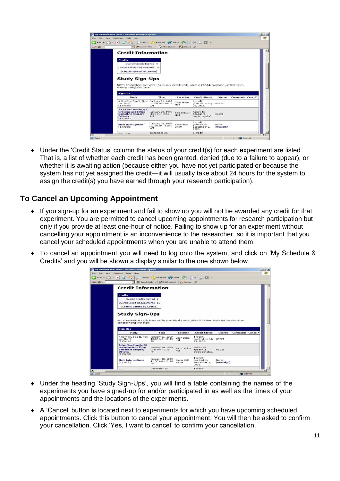| NOTE: Researchers only know you by your identity code, which is 28804, so please use that when |
|------------------------------------------------------------------------------------------------|
|                                                                                                |
|                                                                                                |
| Comments Cancel?                                                                               |
|                                                                                                |
|                                                                                                |
|                                                                                                |
|                                                                                                |
|                                                                                                |

 Under the 'Credit Status' column the status of your credit(s) for each experiment are listed. That is, a list of whether each credit has been granted, denied (due to a failure to appear), or whether it is awaiting action (because either you have not yet participated or because the system has not yet assigned the credit—it will usually take about 24 hours for the system to assign the credit(s) you have earned through your research participation).

#### **To Cancel an Upcoming Appointment**

- If you sign-up for an experiment and fail to show up you will not be awarded any credit for that experiment. You are permitted to cancel upcoming appointments for research participation but only if you provide at least one-hour of notice. Failing to show up for an experiment without cancelling your appointment is an inconvenience to the researcher, so it is important that you cancel your scheduled appointments when you are unable to attend them.
- To cancel an appointment you will need to log onto the system, and click on 'My Schedule & Credits' and you will be shown a display similar to the one shown below.

| If My Schedule and Credits - Microsoft Internet Explorer                                                                                            |                                                |                     |                                                            |                    |                         | $-101x$ |
|-----------------------------------------------------------------------------------------------------------------------------------------------------|------------------------------------------------|---------------------|------------------------------------------------------------|--------------------|-------------------------|---------|
| Favorites<br>Tools<br>Help<br>View                                                                                                                  |                                                |                     |                                                            |                    |                         |         |
| lei<br>$\mathbf{x}$                                                                                                                                 | Search Services (A) Media (4)                  |                     |                                                            |                    |                         |         |
|                                                                                                                                                     | <b>Bib</b> Search Web - RD 9510 blocked        | <b>M</b> _I Options |                                                            |                    |                         |         |
| <b>Credit Information</b>                                                                                                                           |                                                |                     |                                                            |                    |                         |         |
|                                                                                                                                                     |                                                |                     |                                                            |                    |                         |         |
| <b>Credits</b><br>Overall Credits Earned 9                                                                                                          |                                                |                     |                                                            |                    |                         |         |
| Overall Credit Requirements 15                                                                                                                      |                                                |                     |                                                            |                    |                         |         |
| [Credits Earned by Course]                                                                                                                          |                                                |                     |                                                            |                    |                         |         |
|                                                                                                                                                     |                                                |                     |                                                            |                    |                         |         |
| <b>Study Sign-Ups</b><br>NOTE: Researchers only know you by your identity code, which is 28804, so please use that when<br>corresponding with them. |                                                |                     |                                                            |                    |                         |         |
| Sign-Ups                                                                                                                                            |                                                |                     |                                                            |                    |                         |         |
| Study                                                                                                                                               | Time                                           | Location            | <b>Credit Status</b>                                       | Course             | <b>Comments Cancel?</b> |         |
| A Now You See It. Now<br>You Don't<br>(1 Credit)                                                                                                    | January 21, 1999<br>$10:00$ AM - $10:15$<br>AM | 329A Baker<br>Hall  | 1 credit<br>granted on July 85221<br>25, 2003.             |                    |                         |         |
| <b>A Can You Handle It?</b><br><b>Grasping and Lifting</b><br><b>Smooth to Slipperv</b><br><b>Objects</b><br>(1 <i>Credit</i> )                     | January 26, 1999<br>$3:45$ PM - $3:55$<br>PM   | 342 C Baker<br>Hall | Failure to<br>appear(1)<br>credit penalty).                | 85221              |                         |         |
| <b>Math Interruptions</b><br>(1 <i>Credit</i> )                                                                                                     | January 28, 1999<br>$11:30$ AM - $11:48$<br>AM | Baker Hall<br>345M  | 1 <sub>credit</sub><br>granted on<br>September 3.<br>2003. | None<br>[Reassign] |                         |         |

- Under the heading 'Study Sign-Ups', you will find a table containing the names of the experiments you have signed-up for and/or participated in as well as the times of your appointments and the locations of the experiments.
- A 'Cancel' button is located next to experiments for which you have upcoming scheduled appointments. Click this button to cancel your appointment. You will then be asked to confirm your cancellation. Click 'Yes, I want to cancel' to confirm your cancellation.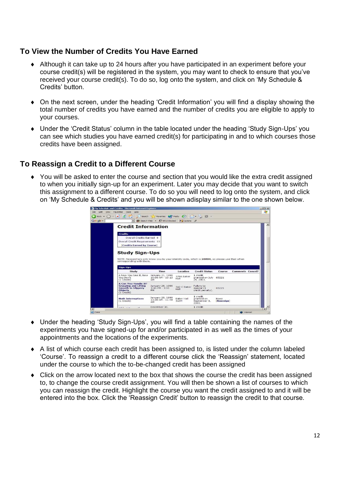#### **To View the Number of Credits You Have Earned**

- Although it can take up to 24 hours after you have participated in an experiment before your course credit(s) will be registered in the system, you may want to check to ensure that you've received your course credit(s). To do so, log onto the system, and click on 'My Schedule & Credits' button
- On the next screen, under the heading 'Credit Information' you will find a display showing the total number of credits you have earned and the number of credits you are eligible to apply to your courses.
- Under the 'Credit Status' column in the table located under the heading 'Study Sign-Ups' you can see which studies you have earned credit(s) for participating in and to which courses those credits have been assigned.

#### **To Reassign a Credit to a Different Course**

 You will be asked to enter the course and section that you would like the extra credit assigned to when you initially sign-up for an experiment. Later you may decide that you want to switch this assignment to a different course. To do so you will need to log onto the system, and click on 'My Schedule & Credits' and you will be shown adisplay similar to the one shown below.

| <b>Credit Information</b><br><b>Credits</b><br>Overall Credits Earned 9<br>Overall Credit Requirements 15<br>[Credits Earned by Course] |                                                      |                                |                                                 |                    |                         |  |
|-----------------------------------------------------------------------------------------------------------------------------------------|------------------------------------------------------|--------------------------------|-------------------------------------------------|--------------------|-------------------------|--|
|                                                                                                                                         |                                                      |                                |                                                 |                    |                         |  |
|                                                                                                                                         |                                                      |                                |                                                 |                    |                         |  |
|                                                                                                                                         |                                                      |                                |                                                 |                    |                         |  |
|                                                                                                                                         |                                                      |                                |                                                 |                    |                         |  |
|                                                                                                                                         |                                                      |                                |                                                 |                    |                         |  |
| <b>Study Sign-Ups</b>                                                                                                                   |                                                      |                                |                                                 |                    |                         |  |
|                                                                                                                                         |                                                      |                                |                                                 |                    |                         |  |
| NOTE: Researchers only know you by your identity code, which is 28804, so please use that when<br>corresponding with them.              |                                                      |                                |                                                 |                    |                         |  |
|                                                                                                                                         |                                                      |                                |                                                 |                    |                         |  |
|                                                                                                                                         |                                                      |                                |                                                 |                    |                         |  |
| Sign-Ups                                                                                                                                | Time                                                 |                                | <b>Credit Status</b>                            |                    |                         |  |
| Study<br>A Now You See It, Now<br>You Don't<br>(1 <i>Credit</i> )                                                                       | January 21, 1999<br>$10:00 AM - 10:15$<br>$\Delta M$ | Location<br>329A Baker<br>Hall | 1 credit<br>granted on July 85221<br>25, 2003.  | Course             | <b>Comments Cancel?</b> |  |
| A Can You Handle It?<br><b>Grasping and Lifting</b><br><b>Smooth to Slippery</b><br><b>Objects</b><br>(1<br>Credit)                     | January 26, 1999<br>$3:45 PM - 3:55$<br>PM           | 342 C Baker<br>Hall            | Failure to<br>appear (1)<br>credit penalty).    | 85221              |                         |  |
| <b>Math Interruptions</b><br>(1 Credit)                                                                                                 | January 28, 1999<br>$11:30$ AM - $11:48$<br>AM       | Baker Hall<br>345M             | 1 credit<br>granted on<br>September 3.<br>2003. | None<br>[Reassign] |                         |  |

- Under the heading 'Study Sign-Ups', you will find a table containing the names of the experiments you have signed-up for and/or participated in as well as the times of your appointments and the locations of the experiments.
- A list of which course each credit has been assigned to, is listed under the column labeled 'Course'. To reassign a credit to a different course click the 'Reassign' statement, located under the course to which the to-be-changed credit has been assigned
- Click on the arrow located next to the box that shows the course the credit has been assigned to, to change the course credit assignment. You will then be shown a list of courses to which you can reassign the credit. Highlight the course you want the credit assigned to and it will be entered into the box. Click the 'Reassign Credit' button to reassign the credit to that course.